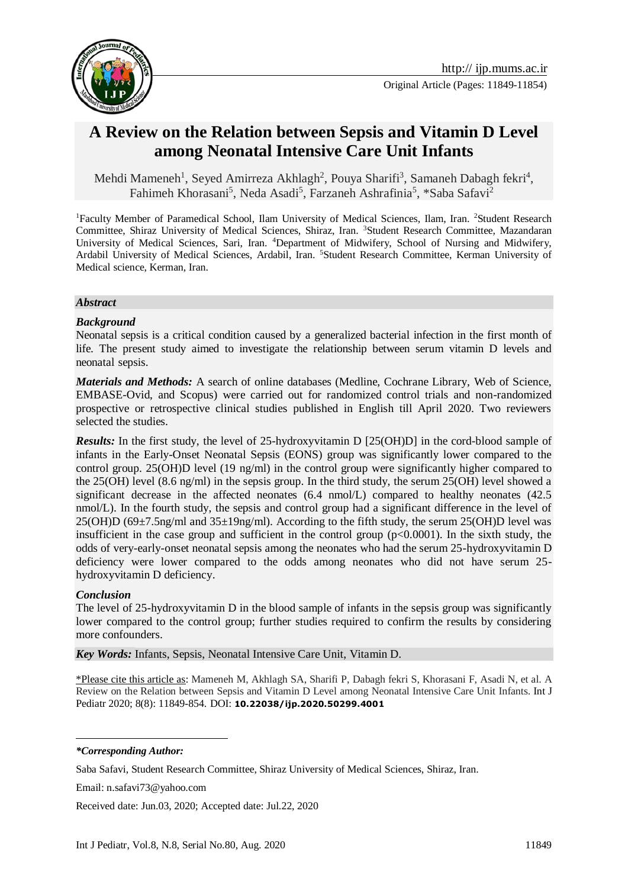

# **A Review on the Relation between Sepsis and Vitamin D Level among Neonatal Intensive Care Unit Infants**

Mehdi Mameneh<sup>1</sup>, Seyed Amirreza Akhlagh<sup>2</sup>, Pouya Sharifi<sup>3</sup>, Samaneh Dabagh fekri<sup>4</sup>, Fahimeh Khorasani<sup>5</sup>, Neda Asadi<sup>5</sup>, Farzaneh Ashrafinia<sup>5</sup>, \*Saba Safavi<sup>2</sup>

<sup>1</sup>Faculty Member of Paramedical School, Ilam University of Medical Sciences, Ilam, Iran. <sup>2</sup>Student Research Committee, Shiraz University of Medical Sciences, Shiraz, Iran. <sup>3</sup>Student Research Committee, Mazandaran University of Medical Sciences, Sari, Iran. <sup>4</sup>Department of Midwifery, School of Nursing and Midwifery, Ardabil University of Medical Sciences, Ardabil, Iran. <sup>5</sup>Student Research Committee, Kerman University of Medical science, Kerman, Iran.

#### *Abstract*

#### *Background*

Neonatal sepsis is a critical condition caused by a generalized bacterial infection in the first month of life. The present study aimed to investigate the relationship between serum vitamin D levels and neonatal sepsis.

*Materials and Methods:* A search of online databases (Medline, Cochrane Library, Web of Science, EMBASE-Ovid, and Scopus) were carried out for randomized control trials and non-randomized prospective or retrospective clinical studies published in English till April 2020. Two reviewers selected the studies.

*Results:* In the first study, the level of 25-hydroxyvitamin D [25(OH)D] in the cord-blood sample of infants in the Early-Onset Neonatal Sepsis (EONS) group was significantly lower compared to the control group. 25(OH)D level (19 ng/ml) in the control group were significantly higher compared to the 25(OH) level (8.6 ng/ml) in the sepsis group. In the third study, the serum 25(OH) level showed a significant decrease in the affected neonates (6.4 nmol/L) compared to healthy neonates (42.5 nmol/L). In the fourth study, the sepsis and control group had a significant difference in the level of  $25(OH)D (69\pm7.5)$ ng/ml and  $35\pm19$ ng/ml). According to the fifth study, the serum  $25(OH)D$  level was insufficient in the case group and sufficient in the control group  $(p<0.0001)$ . In the sixth study, the odds of very-early-onset neonatal sepsis among the neonates who had the serum 25-hydroxyvitamin D deficiency were lower compared to the odds among neonates who did not have serum 25 hydroxyvitamin D deficiency.

#### *Conclusion*

The level of 25-hydroxyvitamin D in the blood sample of infants in the sepsis group was significantly lower compared to the control group; further studies required to confirm the results by considering more confounders.

*Key Words:* Infants, Sepsis, Neonatal Intensive Care Unit, Vitamin D.

\*Please cite this article as: Mameneh M, Akhlagh SA, Sharifi P, Dabagh fekri S, Khorasani F, Asadi N, et al. A Review on the Relation between Sepsis and Vitamin D Level among Neonatal Intensive Care Unit Infants. Int J Pediatr 2020; 8(8): 11849-854. DOI: **10.22038/ijp.2020.50299.4001**

*\*Corresponding Author:*

<u>.</u>

Saba Safavi, Student Research Committee, Shiraz University of Medical Sciences, Shiraz, Iran.

Email: n.safavi73@yahoo.com

Received date: Jun.03, 2020; Accepted date: Jul.22, 2020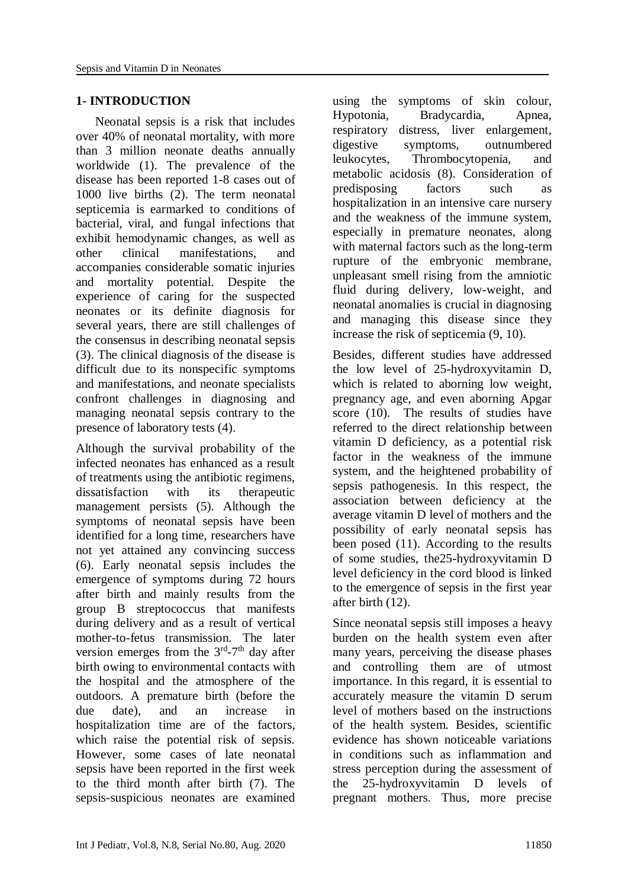### **1- INTRODUCTION**

 Neonatal sepsis is a risk that includes over 40% of neonatal mortality, with more than 3 million neonate deaths annually worldwide (1). The prevalence of the disease has been reported 1-8 cases out of 1000 live births (2). The term neonatal septicemia is earmarked to conditions of bacterial, viral, and fungal infections that exhibit hemodynamic changes, as well as other clinical manifestations, and accompanies considerable somatic injuries and mortality potential. Despite the experience of caring for the suspected neonates or its definite diagnosis for several years, there are still challenges of the consensus in describing neonatal sepsis (3). The clinical diagnosis of the disease is difficult due to its nonspecific symptoms and manifestations, and neonate specialists confront challenges in diagnosing and managing neonatal sepsis contrary to the presence of laboratory tests (4).

Although the survival probability of the infected neonates has enhanced as a result of treatments using the antibiotic regimens, dissatisfaction with its therapeutic management persists (5). Although the symptoms of neonatal sepsis have been identified for a long time, researchers have not yet attained any convincing success (6). Early neonatal sepsis includes the emergence of symptoms during 72 hours after birth and mainly results from the group B streptococcus that manifests during delivery and as a result of vertical mother-to-fetus transmission. The later version emerges from the  $3<sup>rd</sup> - 7<sup>th</sup>$  day after birth owing to environmental contacts with the hospital and the atmosphere of the outdoors. A premature birth (before the due date), and an increase in hospitalization time are of the factors, which raise the potential risk of sepsis. However, some cases of late neonatal sepsis have been reported in the first week to the third month after birth (7). The sepsis-suspicious neonates are examined

using the symptoms of skin colour, Hypotonia, Bradycardia, Apnea, respiratory distress, liver enlargement, digestive symptoms, outnumbered leukocytes, Thrombocytopenia, and metabolic acidosis (8). Consideration of predisposing factors such as hospitalization in an intensive care nursery and the weakness of the immune system, especially in premature neonates, along with maternal factors such as the long-term rupture of the embryonic membrane, unpleasant smell rising from the amniotic fluid during delivery, low-weight, and neonatal anomalies is crucial in diagnosing and managing this disease since they increase the risk of septicemia (9, 10).

Besides, different studies have addressed the low level of 25-hydroxyvitamin D, which is related to aborning low weight, pregnancy age, and even aborning Apgar score (10). The results of studies have referred to the direct relationship between vitamin D deficiency, as a potential risk factor in the weakness of the immune system, and the heightened probability of sepsis pathogenesis. In this respect, the association between deficiency at the average vitamin D level of mothers and the possibility of early neonatal sepsis has been posed (11). According to the results of some studies, the25-hydroxyvitamin D level deficiency in the cord blood is linked to the emergence of sepsis in the first year after birth (12).

Since neonatal sepsis still imposes a heavy burden on the health system even after many years, perceiving the disease phases and controlling them are of utmost importance. In this regard, it is essential to accurately measure the vitamin D serum level of mothers based on the instructions of the health system. Besides, scientific evidence has shown noticeable variations in conditions such as inflammation and stress perception during the assessment of the 25-hydroxyvitamin D levels of pregnant mothers. Thus, more precise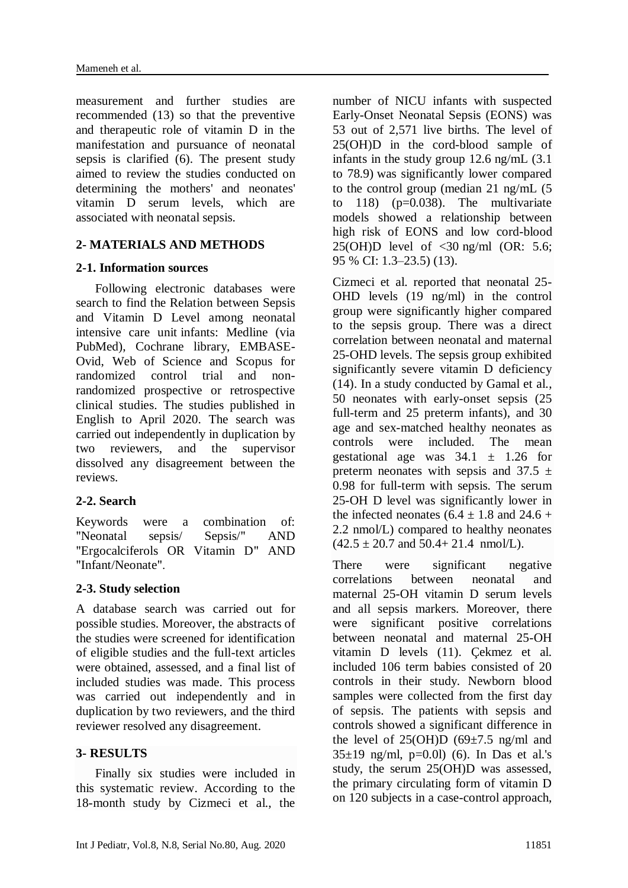measurement and further studies are recommended (13) so that the preventive and therapeutic role of vitamin D in the manifestation and pursuance of neonatal sepsis is clarified (6). The present study aimed to review the studies conducted on determining the mothers' and neonates' vitamin D serum levels, which are associated with neonatal sepsis.

### **2- MATERIALS AND METHODS**

### **2-1. Information sources**

 Following electronic databases were search to find the Relation between Sepsis and Vitamin D Level among neonatal intensive care unit infants: Medline (via PubMed), Cochrane library, EMBASE-Ovid, Web of Science and Scopus for randomized control trial and nonrandomized prospective or retrospective clinical studies. The studies published in English to April 2020. The search was carried out independently in duplication by two reviewers, and the supervisor dissolved any disagreement between the reviews.

# **2-2. Search**

Keywords were a combination of: "Neonatal sepsis/ Sepsis/" AND "Ergocalciferols OR Vitamin D" AND "Infant/Neonate".

# **2-3. Study selection**

A database search was carried out for possible studies. Moreover, the abstracts of the studies were screened for identification of eligible studies and the full-text articles were obtained, assessed, and a final list of included studies was made. This process was carried out independently and in duplication by two reviewers, and the third reviewer resolved any disagreement.

# **3- RESULTS**

 Finally six studies were included in this systematic review. According to the 18-month study by Cizmeci et al., the number of NICU infants with suspected Early-Onset Neonatal Sepsis (EONS) was 53 out of 2,571 live births. The level of 25(OH)D in the cord-blood sample of infants in the study group 12.6 ng/mL (3.1 to 78.9) was significantly lower compared to the control group (median 21 ng/mL (5 to  $118$  ( $p=0.038$ ). The multivariate models showed a relationship between high risk of EONS and low cord-blood  $25(OH)D$  level of  $\langle 30 \text{ ng/ml} \rangle (OR: 5.6;$ 95 % CI: 1.3–23.5) (13).

Cizmeci et al. reported that neonatal 25- OHD levels (19 ng/ml) in the control group were significantly higher compared to the sepsis group. There was a direct correlation between neonatal and maternal 25-OHD levels. The sepsis group exhibited significantly severe vitamin D deficiency (14). In a study conducted by Gamal et al., 50 neonates with early-onset sepsis (25 full-term and 25 preterm infants), and 30 age and sex-matched healthy neonates as controls were included. The mean gestational age was  $34.1 \pm 1.26$  for preterm neonates with sepsis and  $37.5 \pm$ 0.98 for full-term with sepsis. The serum 25-OH D level was significantly lower in the infected neonates  $(6.4 + 1.8$  and  $24.6 +$ 2.2 nmol/L) compared to healthy neonates  $(42.5 \pm 20.7 \text{ and } 50.4 \pm 21.4 \text{ mmol/L}).$ 

There were significant negative correlations between neonatal and maternal 25-OH vitamin D serum levels and all sepsis markers. Moreover, there were significant positive correlations between neonatal and maternal 25-OH vitamin D levels (11). Çekmez et al. included 106 term babies consisted of 20 controls in their study. Newborn blood samples were collected from the first day of sepsis. The patients with sepsis and controls showed a significant difference in the level of  $25(OH)D (69±7.5)$  ng/ml and  $35±19$  ng/ml, p=0.01) (6). In Das et al.'s study, the serum 25(OH)D was assessed, the primary circulating form of vitamin D on 120 subjects in a case-control approach,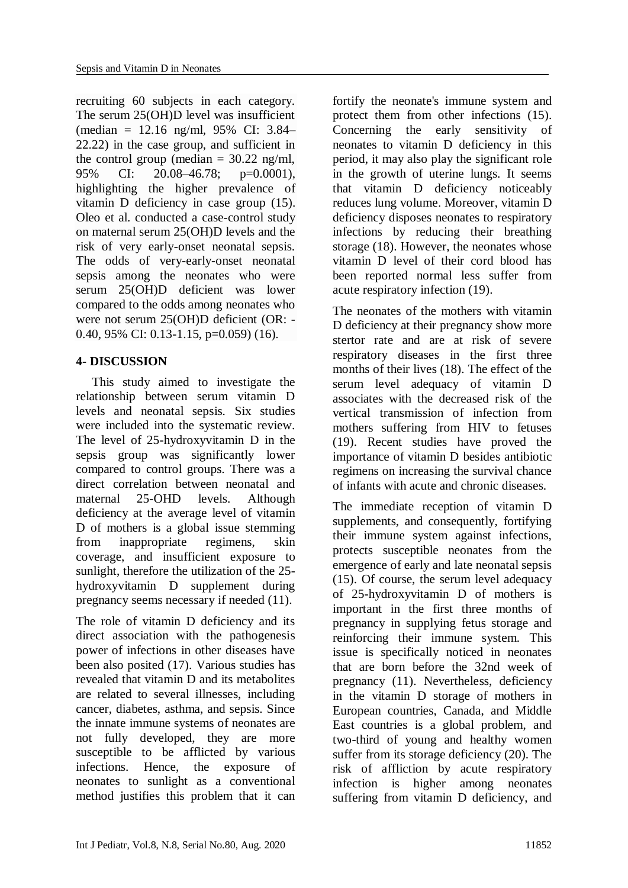recruiting 60 subjects in each category. The serum 25(OH)D level was insufficient (median = 12.16 ng/ml, 95% CI: 3.84– 22.22) in the case group, and sufficient in the control group (median  $= 30.22$  ng/ml, 95% CI: 20.08–46.78; p=0.0001), highlighting the higher prevalence of vitamin D deficiency in case group (15). Oleo et al. conducted a case-control study on maternal serum 25(OH)D levels and the risk of very early-onset neonatal sepsis. The odds of very-early-onset neonatal sepsis among the neonates who were serum 25(OH)D deficient was lower compared to the odds among neonates who were not serum 25(OH)D deficient (OR: - 0.40, 95% CI: 0.13-1.15, p=0.059) (16).

# **4- DISCUSSION**

 This study aimed to investigate the relationship between serum vitamin D levels and neonatal sepsis. Six studies were included into the systematic review. The level of 25-hydroxyvitamin D in the sepsis group was significantly lower compared to control groups. There was a direct correlation between neonatal and maternal 25-OHD levels. Although deficiency at the average level of vitamin D of mothers is a global issue stemming from inappropriate regimens, skin coverage, and insufficient exposure to sunlight, therefore the utilization of the 25 hydroxyvitamin D supplement during pregnancy seems necessary if needed (11).

The role of vitamin D deficiency and its direct association with the pathogenesis power of infections in other diseases have been also posited (17). Various studies has revealed that vitamin D and its metabolites are related to several illnesses, including cancer, diabetes, asthma, and sepsis. Since the innate immune systems of neonates are not fully developed, they are more susceptible to be afflicted by various infections. Hence, the exposure of neonates to sunlight as a conventional method justifies this problem that it can

fortify the neonate's immune system and protect them from other infections (15). Concerning the early sensitivity of neonates to vitamin D deficiency in this period, it may also play the significant role in the growth of uterine lungs. It seems that vitamin D deficiency noticeably reduces lung volume. Moreover, vitamin D deficiency disposes neonates to respiratory infections by reducing their breathing storage (18). However, the neonates whose vitamin D level of their cord blood has been reported normal less suffer from acute respiratory infection (19).

The neonates of the mothers with vitamin D deficiency at their pregnancy show more stertor rate and are at risk of severe respiratory diseases in the first three months of their lives (18). The effect of the serum level adequacy of vitamin D associates with the decreased risk of the vertical transmission of infection from mothers suffering from HIV to fetuses (19). Recent studies have proved the importance of vitamin D besides antibiotic regimens on increasing the survival chance of infants with acute and chronic diseases.

The immediate reception of vitamin D supplements, and consequently, fortifying their immune system against infections, protects susceptible neonates from the emergence of early and late neonatal sepsis (15). Of course, the serum level adequacy of 25-hydroxyvitamin D of mothers is important in the first three months of pregnancy in supplying fetus storage and reinforcing their immune system. This issue is specifically noticed in neonates that are born before the 32nd week of pregnancy (11). Nevertheless, deficiency in the vitamin D storage of mothers in European countries, Canada, and Middle East countries is a global problem, and two-third of young and healthy women suffer from its storage deficiency (20). The risk of affliction by acute respiratory infection is higher among neonates suffering from vitamin D deficiency, and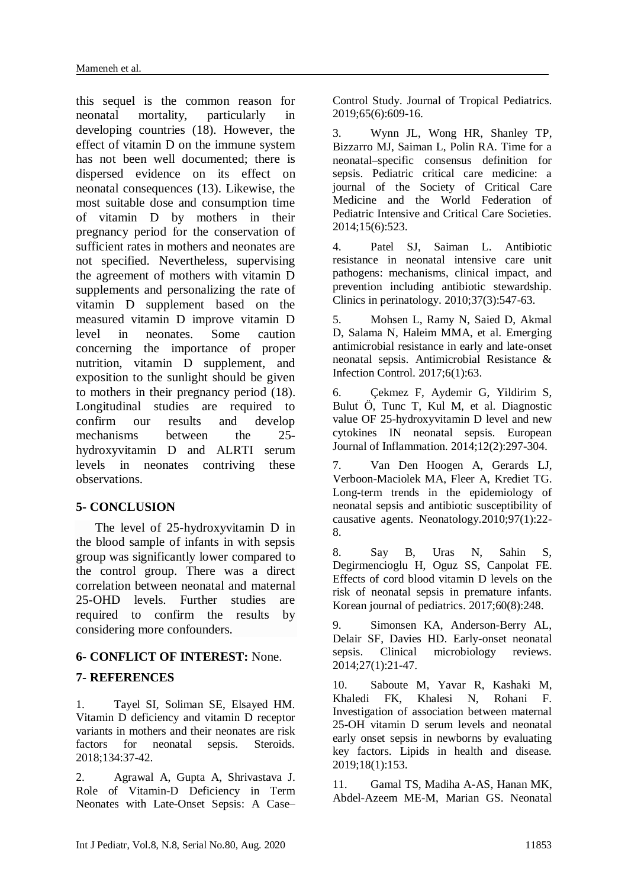this sequel is the common reason for neonatal mortality, particularly in developing countries (18). However, the effect of vitamin D on the immune system has not been well documented; there is dispersed evidence on its effect on neonatal consequences (13). Likewise, the most suitable dose and consumption time of vitamin D by mothers in their pregnancy period for the conservation of sufficient rates in mothers and neonates are not specified. Nevertheless, supervising the agreement of mothers with vitamin D supplements and personalizing the rate of vitamin D supplement based on the measured vitamin D improve vitamin D level in neonates. Some caution concerning the importance of proper nutrition, vitamin D supplement, and exposition to the sunlight should be given to mothers in their pregnancy period (18). Longitudinal studies are required to confirm our results and develop mechanisms between the 25 hydroxyvitamin D and ALRTI serum levels in neonates contriving these observations.

# **5- CONCLUSION**

 The level of 25-hydroxyvitamin D in the blood sample of infants in with sepsis group was significantly lower compared to the control group. There was a direct correlation between neonatal and maternal 25-OHD levels. Further studies are required to confirm the results by considering more confounders.

### **6- CONFLICT OF INTEREST:** None.

### **7- REFERENCES**

1. Tayel SI, Soliman SE, Elsayed HM. Vitamin D deficiency and vitamin D receptor variants in mothers and their neonates are risk factors for neonatal sepsis. Steroids. 2018;134:37-42.

2. Agrawal A, Gupta A, Shrivastava J. Role of Vitamin-D Deficiency in Term Neonates with Late-Onset Sepsis: A Case– Control Study. Journal of Tropical Pediatrics. 2019;65(6):609-16.

3. Wynn JL, Wong HR, Shanley TP, Bizzarro MJ, Saiman L, Polin RA. Time for a neonatal–specific consensus definition for sepsis. Pediatric critical care medicine: a journal of the Society of Critical Care Medicine and the World Federation of Pediatric Intensive and Critical Care Societies. 2014;15(6):523.

4. Patel SJ, Saiman L. Antibiotic resistance in neonatal intensive care unit pathogens: mechanisms, clinical impact, and prevention including antibiotic stewardship. Clinics in perinatology. 2010;37(3):547-63.

5. Mohsen L, Ramy N, Saied D, Akmal D, Salama N, Haleim MMA, et al. Emerging antimicrobial resistance in early and late-onset neonatal sepsis. Antimicrobial Resistance & Infection Control. 2017;6(1):63.

6. Çekmez F, Aydemir G, Yildirim S, Bulut Ö, Tunc T, Kul M, et al. Diagnostic value OF 25-hydroxyvitamin D level and new cytokines IN neonatal sepsis. European Journal of Inflammation. 2014;12(2):297-304.

7. Van Den Hoogen A, Gerards LJ, Verboon-Maciolek MA, Fleer A, Krediet TG. Long-term trends in the epidemiology of neonatal sepsis and antibiotic susceptibility of causative agents. Neonatology.2010;97(1):22- 8.

8. Say B, Uras N, Sahin S, Degirmencioglu H, Oguz SS, Canpolat FE. Effects of cord blood vitamin D levels on the risk of neonatal sepsis in premature infants. Korean journal of pediatrics. 2017;60(8):248.

9. Simonsen KA, Anderson-Berry AL, Delair SF, Davies HD. Early-onset neonatal sepsis. Clinical microbiology reviews. 2014;27(1):21-47.

10. Saboute M, Yavar R, Kashaki M, Khaledi FK, Khalesi N, Rohani F. Investigation of association between maternal 25-OH vitamin D serum levels and neonatal early onset sepsis in newborns by evaluating key factors. Lipids in health and disease. 2019;18(1):153.

11. Gamal TS, Madiha A-AS, Hanan MK, Abdel-Azeem ME-M, Marian GS. Neonatal